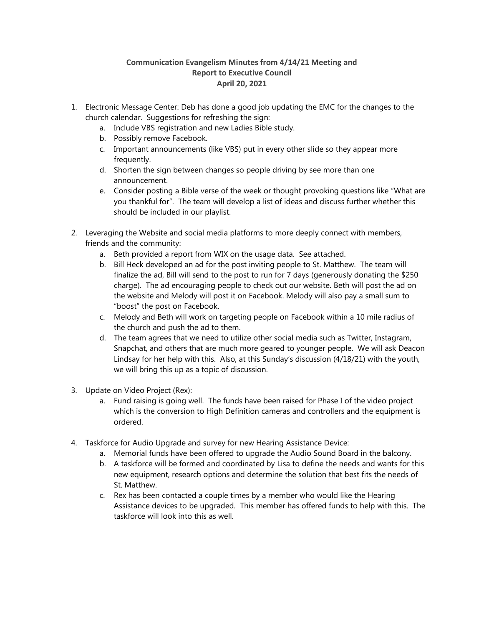## **Communication Evangelism Minutes from 4/14/21 Meeting and Report to Executive Council April 20, 2021**

- 1. Electronic Message Center: Deb has done a good job updating the EMC for the changes to the church calendar. Suggestions for refreshing the sign:
	- a. Include VBS registration and new Ladies Bible study.
	- b. Possibly remove Facebook.
	- c. Important announcements (like VBS) put in every other slide so they appear more frequently.
	- d. Shorten the sign between changes so people driving by see more than one announcement.
	- e. Consider posting a Bible verse of the week or thought provoking questions like "What are you thankful for". The team will develop a list of ideas and discuss further whether this should be included in our playlist.
- 2. Leveraging the Website and social media platforms to more deeply connect with members, friends and the community:
	- a. Beth provided a report from WIX on the usage data. See attached.
	- b. Bill Heck developed an ad for the post inviting people to St. Matthew. The team will finalize the ad, Bill will send to the post to run for 7 days (generously donating the \$250 charge). The ad encouraging people to check out our website. Beth will post the ad on the website and Melody will post it on Facebook. Melody will also pay a small sum to "boost" the post on Facebook.
	- c. Melody and Beth will work on targeting people on Facebook within a 10 mile radius of the church and push the ad to them.
	- d. The team agrees that we need to utilize other social media such as Twitter, Instagram, Snapchat, and others that are much more geared to younger people. We will ask Deacon Lindsay for her help with this. Also, at this Sunday's discussion (4/18/21) with the youth, we will bring this up as a topic of discussion.
- 3. Update on Video Project (Rex):
	- a. Fund raising is going well. The funds have been raised for Phase I of the video project which is the conversion to High Definition cameras and controllers and the equipment is ordered.
- 4. Taskforce for Audio Upgrade and survey for new Hearing Assistance Device:
	- a. Memorial funds have been offered to upgrade the Audio Sound Board in the balcony.
	- b. A taskforce will be formed and coordinated by Lisa to define the needs and wants for this new equipment, research options and determine the solution that best fits the needs of St. Matthew.
	- c. Rex has been contacted a couple times by a member who would like the Hearing Assistance devices to be upgraded. This member has offered funds to help with this. The taskforce will look into this as well.